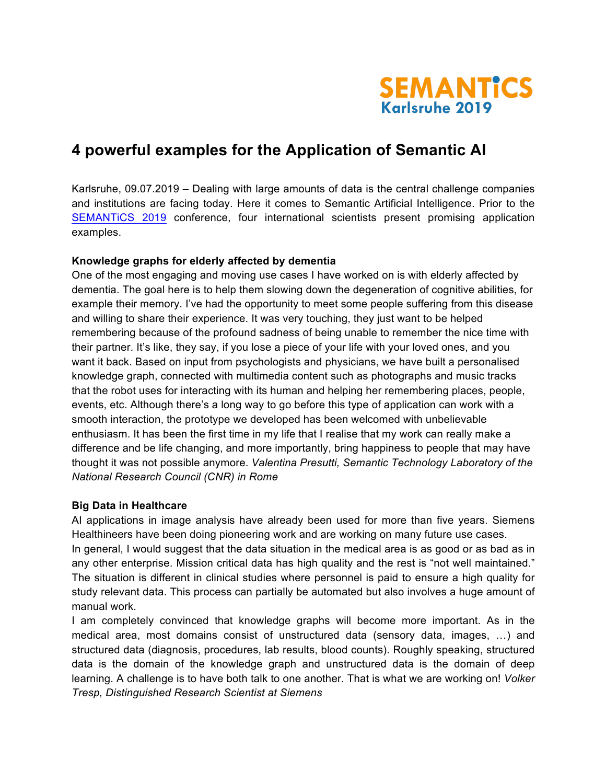

# **4 powerful examples for the Application of Semantic AI**

Karlsruhe, 09.07.2019 – Dealing with large amounts of data is the central challenge companies and institutions are facing today. Here it comes to Semantic Artificial Intelligence. Prior to the SEMANTICS 2019 conference, four international scientists present promising application examples.

#### **Knowledge graphs for elderly affected by dementia**

One of the most engaging and moving use cases I have worked on is with elderly affected by dementia. The goal here is to help them slowing down the degeneration of cognitive abilities, for example their memory. I've had the opportunity to meet some people suffering from this disease and willing to share their experience. It was very touching, they just want to be helped remembering because of the profound sadness of being unable to remember the nice time with their partner. It's like, they say, if you lose a piece of your life with your loved ones, and you want it back. Based on input from psychologists and physicians, we have built a personalised knowledge graph, connected with multimedia content such as photographs and music tracks that the robot uses for interacting with its human and helping her remembering places, people, events, etc. Although there's a long way to go before this type of application can work with a smooth interaction, the prototype we developed has been welcomed with unbelievable enthusiasm. It has been the first time in my life that I realise that my work can really make a difference and be life changing, and more importantly, bring happiness to people that may have thought it was not possible anymore. *Valentina Presutti, Semantic Technology Laboratory of the National Research Council (CNR) in Rome*

## **Big Data in Healthcare**

AI applications in image analysis have already been used for more than five years. Siemens Healthineers have been doing pioneering work and are working on many future use cases. In general, I would suggest that the data situation in the medical area is as good or as bad as in any other enterprise. Mission critical data has high quality and the rest is "not well maintained." The situation is different in clinical studies where personnel is paid to ensure a high quality for study relevant data. This process can partially be automated but also involves a huge amount of manual work.

I am completely convinced that knowledge graphs will become more important. As in the medical area, most domains consist of unstructured data (sensory data, images, …) and structured data (diagnosis, procedures, lab results, blood counts). Roughly speaking, structured data is the domain of the knowledge graph and unstructured data is the domain of deep learning. A challenge is to have both talk to one another. That is what we are working on! *Volker Tresp, Distinguished Research Scientist at Siemens*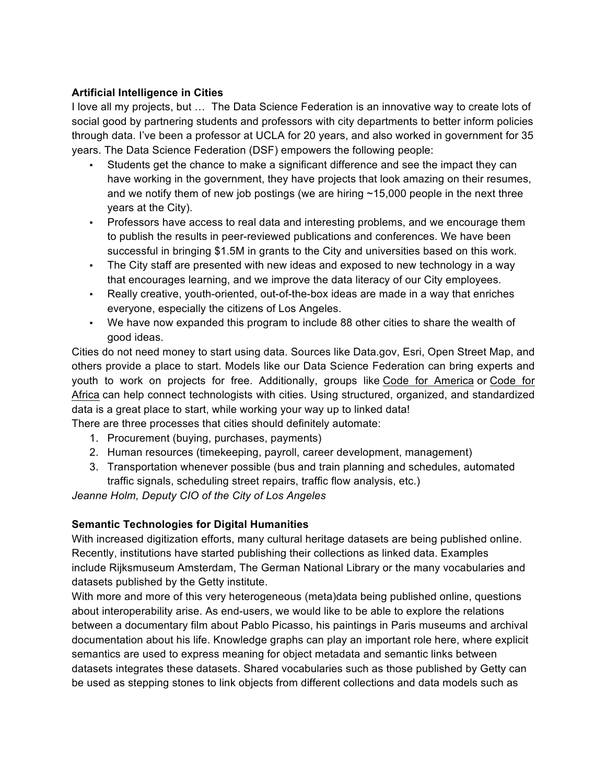## **Artificial Intelligence in Cities**

I love all my projects, but … The Data Science Federation is an innovative way to create lots of social good by partnering students and professors with city departments to better inform policies through data. I've been a professor at UCLA for 20 years, and also worked in government for 35 years. The Data Science Federation (DSF) empowers the following people:

- Students get the chance to make a significant difference and see the impact they can have working in the government, they have projects that look amazing on their resumes, and we notify them of new job postings (we are hiring  $\sim$  15,000 people in the next three years at the City).
- Professors have access to real data and interesting problems, and we encourage them to publish the results in peer-reviewed publications and conferences. We have been successful in bringing \$1.5M in grants to the City and universities based on this work.
- The City staff are presented with new ideas and exposed to new technology in a way that encourages learning, and we improve the data literacy of our City employees.
- Really creative, youth-oriented, out-of-the-box ideas are made in a way that enriches everyone, especially the citizens of Los Angeles.
- We have now expanded this program to include 88 other cities to share the wealth of good ideas.

Cities do not need money to start using data. Sources like Data.gov, Esri, Open Street Map, and others provide a place to start. Models like our Data Science Federation can bring experts and youth to work on projects for free. Additionally, groups like Code for America or Code for Africa can help connect technologists with cities. Using structured, organized, and standardized data is a great place to start, while working your way up to linked data!

- There are three processes that cities should definitely automate:
	- 1. Procurement (buying, purchases, payments)
	- 2. Human resources (timekeeping, payroll, career development, management)
	- 3. Transportation whenever possible (bus and train planning and schedules, automated traffic signals, scheduling street repairs, traffic flow analysis, etc.)

*Jeanne Holm, Deputy CIO of the City of Los Angeles*

## **Semantic Technologies for Digital Humanities**

With increased digitization efforts, many cultural heritage datasets are being published online. Recently, institutions have started publishing their collections as linked data. Examples include Rijksmuseum Amsterdam, The German National Library or the many vocabularies and datasets published by the Getty institute.

With more and more of this very heterogeneous (meta)data being published online, questions about interoperability arise. As end-users, we would like to be able to explore the relations between a documentary film about Pablo Picasso, his paintings in Paris museums and archival documentation about his life. Knowledge graphs can play an important role here, where explicit semantics are used to express meaning for object metadata and semantic links between datasets integrates these datasets. Shared vocabularies such as those published by Getty can be used as stepping stones to link objects from different collections and data models such as